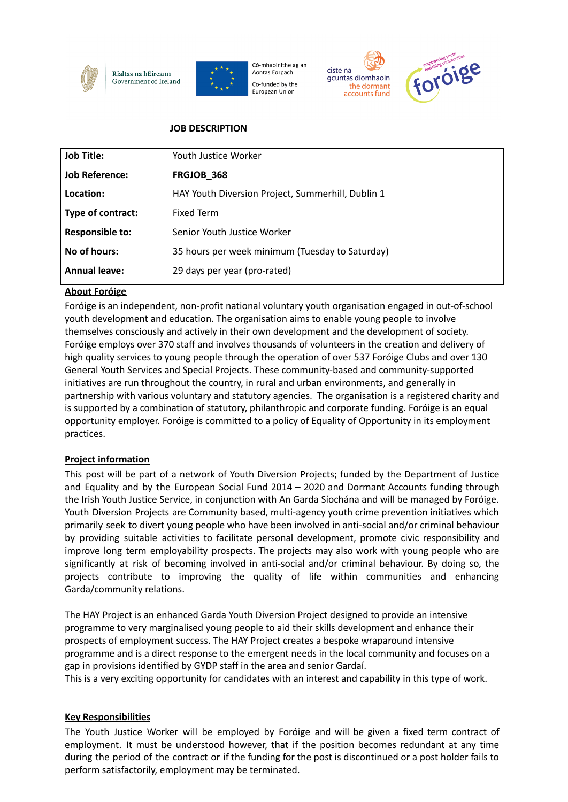



Có-mhaoinithe ag an Aontas Eorpach Co-funded by the European Union





### **JOB DESCRIPTION**

| <b>Job Title:</b>      | Youth Justice Worker                              |
|------------------------|---------------------------------------------------|
| <b>Job Reference:</b>  | <b>FRGJOB_368</b>                                 |
| Location:              | HAY Youth Diversion Project, Summerhill, Dublin 1 |
| Type of contract:      | <b>Fixed Term</b>                                 |
| <b>Responsible to:</b> | Senior Youth Justice Worker                       |
| No of hours:           | 35 hours per week minimum (Tuesday to Saturday)   |
| <b>Annual leave:</b>   | 29 days per year (pro-rated)                      |

# **About Foróige**

Foróige is an independent, non-profit national voluntary youth organisation engaged in out-of-school youth development and education. The organisation aims to enable young people to involve themselves consciously and actively in their own development and the development of society. Foróige employs over 370 staff and involves thousands of volunteers in the creation and delivery of high quality services to young people through the operation of over 537 Foróige Clubs and over 130 General Youth Services and Special Projects. These community-based and community-supported initiatives are run throughout the country, in rural and urban environments, and generally in partnership with various voluntary and statutory agencies. The organisation is a registered charity and is supported by a combination of statutory, philanthropic and corporate funding. Foróige is an equal opportunity employer. Foróige is committed to a policy of Equality of Opportunity in its employment practices.

### **Project information**

This post will be part of a network of Youth Diversion Projects; funded by the Department of Justice and Equality and by the European Social Fund 2014 – 2020 and Dormant Accounts funding through the Irish Youth Justice Service, in conjunction with An Garda Síochána and will be managed by Foróige. Youth Diversion Projects are Community based, multi-agency youth crime prevention initiatives which primarily seek to divert young people who have been involved in anti-social and/or criminal behaviour by providing suitable activities to facilitate personal development, promote civic responsibility and improve long term employability prospects. The projects may also work with young people who are significantly at risk of becoming involved in anti-social and/or criminal behaviour. By doing so, the projects contribute to improving the quality of life within communities and enhancing Garda/community relations.

The HAY Project is an enhanced Garda Youth Diversion Project designed to provide an intensive programme to very marginalised young people to aid their skills development and enhance their prospects of employment success. The HAY Project creates a bespoke wraparound intensive programme and is a direct response to the emergent needs in the local community and focuses on a gap in provisions identified by GYDP staff in the area and senior Gardaí.

This is a very exciting opportunity for candidates with an interest and capability in this type of work.

### **Key Responsibilities**

The Youth Justice Worker will be employed by Foróige and will be given a fixed term contract of employment. It must be understood however, that if the position becomes redundant at any time during the period of the contract or if the funding for the post is discontinued or a post holder fails to perform satisfactorily, employment may be terminated.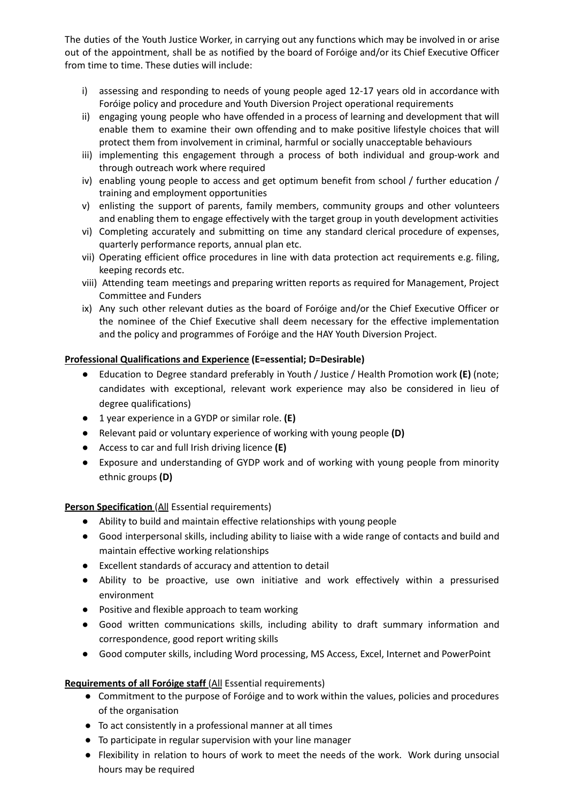The duties of the Youth Justice Worker, in carrying out any functions which may be involved in or arise out of the appointment, shall be as notified by the board of Foróige and/or its Chief Executive Officer from time to time. These duties will include:

- i) assessing and responding to needs of young people aged 12-17 years old in accordance with Foróige policy and procedure and Youth Diversion Project operational requirements
- ii) engaging young people who have offended in a process of learning and development that will enable them to examine their own offending and to make positive lifestyle choices that will protect them from involvement in criminal, harmful or socially unacceptable behaviours
- iii) implementing this engagement through a process of both individual and group-work and through outreach work where required
- iv) enabling young people to access and get optimum benefit from school / further education / training and employment opportunities
- v) enlisting the support of parents, family members, community groups and other volunteers and enabling them to engage effectively with the target group in youth development activities
- vi) Completing accurately and submitting on time any standard clerical procedure of expenses, quarterly performance reports, annual plan etc.
- vii) Operating efficient office procedures in line with data protection act requirements e.g. filing, keeping records etc.
- viii) Attending team meetings and preparing written reports as required for Management, Project Committee and Funders
- ix) Any such other relevant duties as the board of Foróige and/or the Chief Executive Officer or the nominee of the Chief Executive shall deem necessary for the effective implementation and the policy and programmes of Foróige and the HAY Youth Diversion Project.

### **Professional Qualifications and Experience (E=essential; D=Desirable)**

- Education to Degree standard preferably in Youth / Justice / Health Promotion work **(E)** (note; candidates with exceptional, relevant work experience may also be considered in lieu of degree qualifications)
- 1 year experience in a GYDP or similar role. **(E)**
- Relevant paid or voluntary experience of working with young people **(D)**
- Access to car and full Irish driving licence **(E)**
- Exposure and understanding of GYDP work and of working with young people from minority ethnic groups **(D)**

### **Person Specification** (All Essential requirements)

- Ability to build and maintain effective relationships with young people
- Good interpersonal skills, including ability to liaise with a wide range of contacts and build and maintain effective working relationships
- Excellent standards of accuracy and attention to detail
- Ability to be proactive, use own initiative and work effectively within a pressurised environment
- Positive and flexible approach to team working
- Good written communications skills, including ability to draft summary information and correspondence, good report writing skills
- Good computer skills, including Word processing, MS Access, Excel, Internet and PowerPoint

# **Requirements of all Foróige staff** (All Essential requirements)

- Commitment to the purpose of Foróige and to work within the values, policies and procedures of the organisation
- To act consistently in a professional manner at all times
- To participate in regular supervision with your line manager
- Flexibility in relation to hours of work to meet the needs of the work. Work during unsocial hours may be required